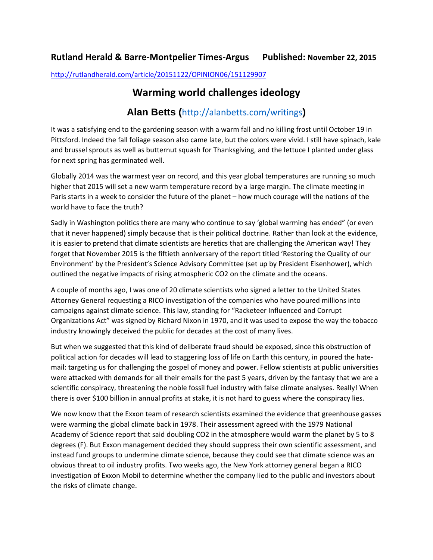## **Rutland Herald & Barre-Montpelier Times-Argus Published: November 22, 2015**

<http://rutlandherald.com/article/20151122/OPINION06/151129907>

## **Warming world challenges ideology**

## **Alan Betts (**http://alanbetts.com/writings**)**

It was a satisfying end to the gardening season with a warm fall and no killing frost until October 19 in Pittsford. Indeed the fall foliage season also came late, but the colors were vivid. I still have spinach, kale and brussel sprouts as well as butternut squash for Thanksgiving, and the lettuce I planted under glass for next spring has germinated well.

Globally 2014 was the warmest year on record, and this year global temperatures are running so much higher that 2015 will set a new warm temperature record by a large margin. The climate meeting in Paris starts in a week to consider the future of the planet – how much courage will the nations of the world have to face the truth?

Sadly in Washington politics there are many who continue to say 'global warming has ended" (or even that it never happened) simply because that is their political doctrine. Rather than look at the evidence, it is easier to pretend that climate scientists are heretics that are challenging the American way! They forget that November 2015 is the fiftieth anniversary of the report titled 'Restoring the Quality of our Environment' by the President's Science Advisory Committee (set up by President Eisenhower), which outlined the negative impacts of rising atmospheric CO2 on the climate and the oceans.

A couple of months ago, I was one of 20 climate scientists who signed a letter to the United States Attorney General requesting a RICO investigation of the companies who have poured millions into campaigns against climate science. This law, standing for "Racketeer Influenced and Corrupt Organizations Act" was signed by Richard Nixon in 1970, and it was used to expose the way the tobacco industry knowingly deceived the public for decades at the cost of many lives.

But when we suggested that this kind of deliberate fraud should be exposed, since this obstruction of political action for decades will lead to staggering loss of life on Earth this century, in poured the hatemail: targeting us for challenging the gospel of money and power. Fellow scientists at public universities were attacked with demands for all their emails for the past 5 years, driven by the fantasy that we are a scientific conspiracy, threatening the noble fossil fuel industry with false climate analyses. Really! When there is over \$100 billion in annual profits at stake, it is not hard to guess where the conspiracy lies.

We now know that the Exxon team of research scientists examined the evidence that greenhouse gasses were warming the global climate back in 1978. Their assessment agreed with the 1979 National Academy of Science report that said doubling CO2 in the atmosphere would warm the planet by 5 to 8 degrees (F). But Exxon management decided they should suppress their own scientific assessment, and instead fund groups to undermine climate science, because they could see that climate science was an obvious threat to oil industry profits. Two weeks ago, the New York attorney general began a RICO investigation of Exxon Mobil to determine whether the company lied to the public and investors about the risks of climate change.